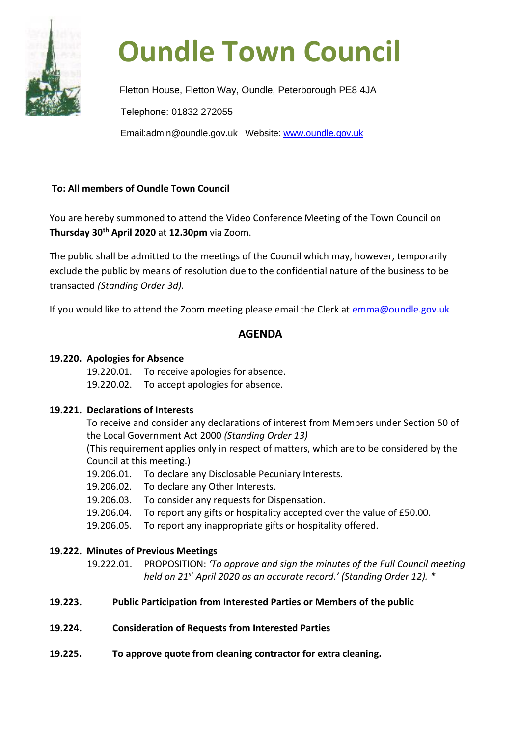

# **Oundle Town Council**

Fletton House, Fletton Way, Oundle, Peterborough PE8 4JA Telephone: 01832 272055 Email:admin@oundle.gov.uk Website: [www.oundle.gov.uk](http://www.oundle.gov.uk/)

### **To: All members of Oundle Town Council**

You are hereby summoned to attend the Video Conference Meeting of the Town Council on **Thursday 30th April 2020** at **12.30pm** via Zoom.

The public shall be admitted to the meetings of the Council which may, however, temporarily exclude the public by means of resolution due to the confidential nature of the business to be transacted *(Standing Order 3d).*

If you would like to attend the Zoom meeting please email the Clerk at [emma@oundle.gov.uk](mailto:emma@oundle.gov.uk)

# **AGENDA**

## **19.220. Apologies for Absence**

- 19.220.01. To receive apologies for absence.
- 19.220.02. To accept apologies for absence.

### **19.221. Declarations of Interests**

To receive and consider any declarations of interest from Members under Section 50 of the Local Government Act 2000 *(Standing Order 13)*

(This requirement applies only in respect of matters, which are to be considered by the Council at this meeting.)

- 19.206.01. To declare any Disclosable Pecuniary Interests.
- 19.206.02. To declare any Other Interests.
- 19.206.03. To consider any requests for Dispensation.
- 19.206.04. To report any gifts or hospitality accepted over the value of £50.00.
- 19.206.05. To report any inappropriate gifts or hospitality offered.

## **19.222. Minutes of Previous Meetings**

19.222.01. PROPOSITION: *'To approve and sign the minutes of the Full Council meeting held on 21st April 2020 as an accurate record.' (Standing Order 12). \**

- **19.223. Public Participation from Interested Parties or Members of the public**
- **19.224. Consideration of Requests from Interested Parties**
- **19.225. To approve quote from cleaning contractor for extra cleaning.**